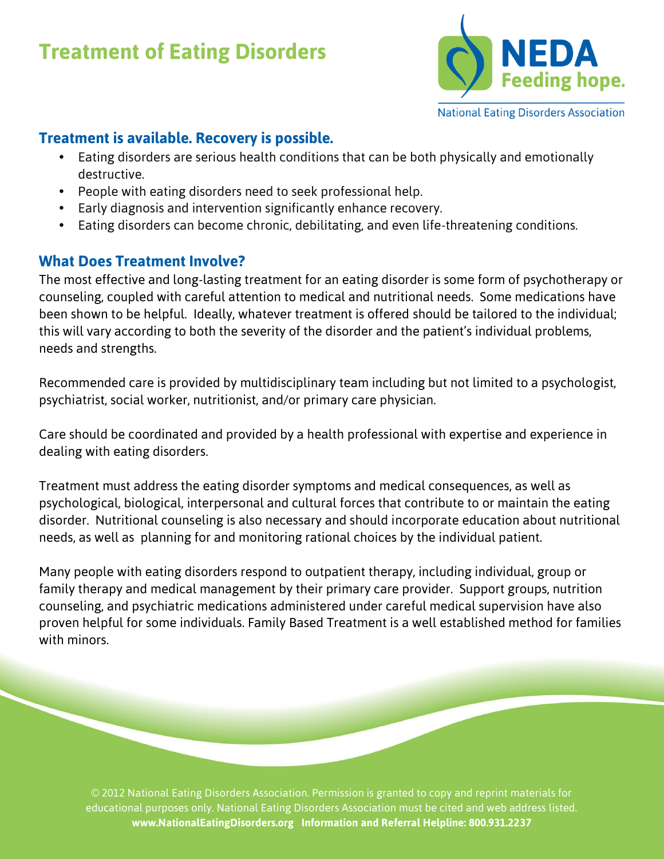## **Treatment of Eating Disorders**



## **Treatment is available. Recovery is possible.**

- Eating disorders are serious health conditions that can be both physically and emotionally destructive.
- People with eating disorders need to seek professional help.
- Early diagnosis and intervention significantly enhance recovery.
- Eating disorders can become chronic, debilitating, and even life-threatening conditions.

## **What Does Treatment Involve?**

The most effective and long-lasting treatment for an eating disorder is some form of psychotherapy or counseling, coupled with careful attention to medical and nutritional needs. Some medications have been shown to be helpful. Ideally, whatever treatment is offered should be tailored to the individual; this will vary according to both the severity of the disorder and the patient's individual problems, needs and strengths.

Recommended care is provided by multidisciplinary team including but not limited to a psychologist, psychiatrist, social worker, nutritionist, and/or primary care physician.

Care should be coordinated and provided by a health professional with expertise and experience in dealing with eating disorders.

Treatment must address the eating disorder symptoms and medical consequences, as well as psychological, biological, interpersonal and cultural forces that contribute to or maintain the eating disorder. Nutritional counseling is also necessary and should incorporate education about nutritional needs, as well as planning for and monitoring rational choices by the individual patient.

Many people with eating disorders respond to outpatient therapy, including individual, group or family therapy and medical management by their primary care provider. Support groups, nutrition counseling, and psychiatric medications administered under careful medical supervision have also proven helpful for some individuals. Family Based Treatment is a well established method for families with minors.

© 2012 National Eating Disorders Association. Permission is granted to copy and reprint materials for educational purposes only. National Eating Disorders Association must be cited and web address listed. **www.NationalEatingDisorders.org Information and Referral Helpline: 800.931.2237**